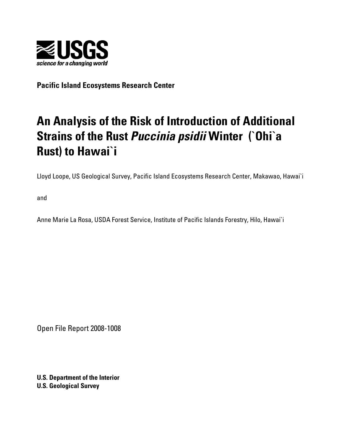

**Pacific Island Ecosystems Research Center** 

# **An Analysis of the Risk of Introduction of Additional Strains of the Rust** *Puccinia psidii* **Winter (`Ohi`a Rust) to Hawai`i**

Lloyd Loope, US Geological Survey, Pacific Island Ecosystems Research Center, Makawao, Hawai`i

and

Anne Marie La Rosa, USDA Forest Service, Institute of Pacific Islands Forestry, Hilo, Hawai`i

Open File Report 2008-1008

**U.S. Department of the Interior U.S. Geological Survey**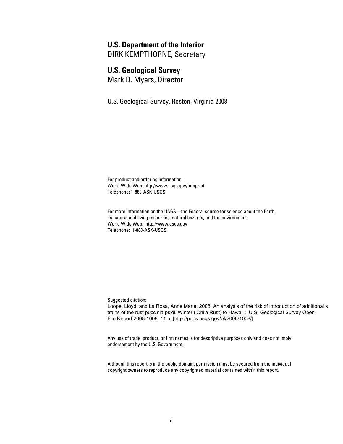#### **U.S. Department of the Interior**

DIRK KEMPTHORNE, Secretary

### **U.S. Geological Survey**

Mark D. Myers, Director

U.S. Geological Survey, Reston, Virginia 2008

For product and ordering information: World Wide Web: <http://www.usgs.gov/pubprod> Telephone: 1-888-ASK-USGS

For more information on the USGS—the Federal source for science about the Earth, its natural and living resources, natural hazards, and the environment: World Wide Web: <http://www.usgs.gov> Telephone: 1-888-ASK-USGS

Suggested citation:

Loope, Lloyd, and La Rosa, Anne Marie, 2008, An analysis of the risk of introduction of additional s trains of the rust puccinia psidii Winter ('Ohi'a Rust) to Hawai'i: U.S. Geological Survey Open-File Report 2008-1008, 11 p. [\[http://pubs.usgs.gov/of/2008/1008/\].](http://pubs.usgs.gov/of/2008/1008/]) 

Any use of trade, product, or firm names is for descriptive purposes only and does not imply endorsement by the U.S. Government.

Although this report is in the public domain, permission must be secured from the individual copyright owners to reproduce any copyrighted material contained within this report.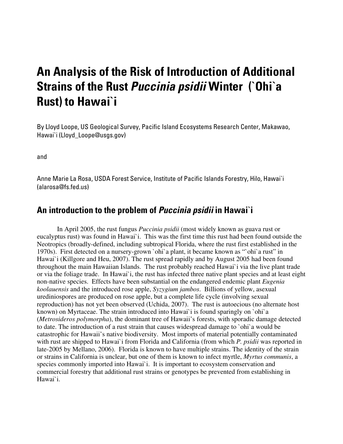# **An Analysis of the Risk of Introduction of Additional Strains of the Rust** *Puccinia psidii* **Winter (`Ohi`a Rust) to Hawai`i**

By Lloyd Loope, US Geological Survey, Pacific Island Ecosystems Research Center, Makawao, Hawai`i ([Lloyd\\_Loope@usgs.gov\)](mailto:Lloyd_Loope@usgs.gov) 

and

Anne Marie La Rosa, USDA Forest Service, Institute of Pacific Islands Forestry, Hilo, Hawai`i [\(alarosa@fs.fed.us\)](mailto:alarosa@fs.fed.us) 

### **An introduction to the problem of** *Puccinia psidii* **in Hawai`i**

In April 2005, the rust fungus *Puccinia psidii* (most widely known as guava rust or eucalyptus rust) was found in Hawai`i. This was the first time this rust had been found outside the Neotropics (broadly-defined, including subtropical Florida, where the rust first established in the 1970s). First detected on a nursery-grown `ohi`a plant, it became known as "`ohi`a rust" in Hawai`i (Killgore and Heu, 2007). The rust spread rapidly and by August 2005 had been found throughout the main Hawaiian Islands. The rust probably reached Hawai`i via the live plant trade or via the foliage trade. In Hawai`i, the rust has infected three native plant species and at least eight non-native species. Effects have been substantial on the endangered endemic plant *Eugenia koolauensis* and the introduced rose apple, *Syzygium jambos*. Billions of yellow, asexual urediniospores are produced on rose apple, but a complete life cycle (involving sexual reproduction) has not yet been observed (Uchida, 2007). The rust is autoecious (no alternate host known) on Myrtaceae. The strain introduced into Hawai`i is found sparingly on `ohi`a (*Metrosideros polymorpha*), the dominant tree of Hawaii's forests, with sporadic damage detected to date. The introduction of a rust strain that causes widespread damage to `ohi`a would be catastrophic for Hawaii's native biodiversity. Most imports of material potentially contaminated with rust are shipped to Hawai`i from Florida and California (from which *P. psidii* was reported in late-2005 by Mellano, 2006). Florida is known to have multiple strains. The identity of the strain or strains in California is unclear, but one of them is known to infect myrtle, *Myrtus communis*, a species commonly imported into Hawai`i. It is important to ecosystem conservation and commercial forestry that additional rust strains or genotypes be prevented from establishing in Hawai`i.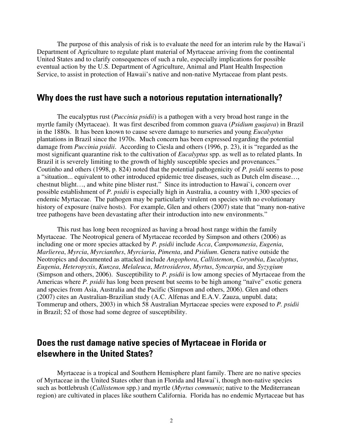The purpose of this analysis of risk is to evaluate the need for an interim rule by the Hawai'i Department of Agriculture to regulate plant material of Myrtaceae arriving from the continental United States and to clarify consequences of such a rule, especially implications for possible eventual action by the U.S. Department of Agriculture, Animal and Plant Health Inspection Service, to assist in protection of Hawaii's native and non-native Myrtaceae from plant pests.

### **Why does the rust have such a notorious reputation internationally?**

The eucalyptus rust (*Puccinia psidii*) is a pathogen with a very broad host range in the myrtle family (Myrtaceae). It was first described from common guava (*Psidium guajava*) in Brazil in the 1880s. It has been known to cause severe damage to nurseries and young *Eucalyptus* plantations in Brazil since the 1970s. Much concern has been expressed regarding the potential damage from *Puccinia psidii*. According to Ciesla and others (1996, p. 23), it is "regarded as the most significant quarantine risk to the cultivation of *Eucalyptus* spp. as well as to related plants. In Brazil it is severely limiting to the growth of highly susceptible species and provenances." Coutinho and others (1998, p. 824) noted that the potential pathogenicity of *P. psidii* seems to pose a "situation... equivalent to other introduced epidemic tree diseases, such as Dutch elm disease…, chestnut blight…, and white pine blister rust." Since its introduction to Hawai`i, concern over possible establishment of *P. psidii* is especially high in Australia, a country with 1,300 species of endemic Myrtaceae. The pathogen may be particularly virulent on species with no evolutionary history of exposure (naïve hosts). For example, Glen and others (2007) state that "many non-native tree pathogens have been devastating after their introduction into new environments."

This rust has long been recognized as having a broad host range within the family Myrtaceae. The Neotropical genera of Myrtaceae recorded by Simpson and others (2006) as including one or more species attacked by *P. psidii* include *Acca*, *Campomanesia*, *Eugenia*, *Marlierea*, *Myrcia*, *Myrcianthes*, *Myrciaria*, *Pimenta*, and *Psidium*. Genera native outside the Neotropics and documented as attacked include *Angophora*, *Callistemon*, *Corymbia*, *Eucalyptus*, *Eugenia*, *Heteropyxis*, *Kunzea*, *Melaleuca*, *Metrosideros*, *Myrtus*, *Syncarpia*, and *Syzygium* (Simpson and others, 2006). Susceptibility to *P. psidii* is low among species of Myrtaceae from the Americas where *P. psidii* has long been present but seems to be high among "naïve" exotic genera and species from Asia, Australia and the Pacific (Simpson and others, 2006). Glen and others (2007) cites an Australian-Brazilian study (A.C. Alfenas and E.A.V. Zauza, unpubl. data; Tommerup and others, 2003) in which 58 Australian Myrtaceae species were exposed to *P. psidii* in Brazil; 52 of those had some degree of susceptibility.

# **Does the rust damage native species of Myrtaceae in Florida or elsewhere in the United States?**

Myrtaceae is a tropical and Southern Hemisphere plant family. There are no native species of Myrtaceae in the United States other than in Florida and Hawai`i, though non-native species such as bottlebrush (*Callistemon* spp.) and myrtle (*Myrtus communis*; native to the Mediterranean region) are cultivated in places like southern California. Florida has no endemic Myrtaceae but has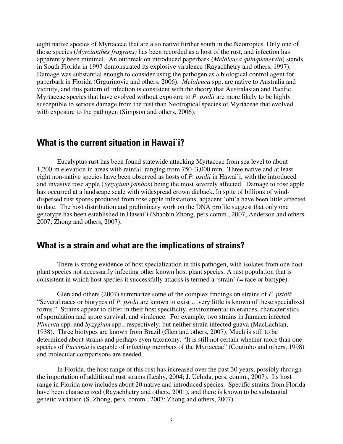eight native species of Myrtaceae that are also native further south in the Neotropics. Only one of those species (*Myrcianthes fragrans)* has been recorded as a host of the rust, and infection has apparently been minimal. An outbreak on introduced paperbark (*Melaleuca quinquenervia*) stands in South Florida in 1997 demonstrated its explosive virulence (Rayachhetry and others, 1997). Damage was substantial enough to consider using the pathogen as a biological control agent for paperbark in Florida (Grgurinovic and others, 2006). *Melaleuca* spp. are native to Australia and vicinity, and this pattern of infection is consistent with the theory that Australasian and Pacific Myrtaceae species that have evolved without exposure to *P. psidii* are more likely to be highly susceptible to serious damage from the rust than Neotropical species of Myrtaceae that evolved with exposure to the pathogen (Simpson and others, 2006).

### **What is the current situation in Hawai`i?**

Eucalyptus rust has been found statewide attacking Myrtaceae from sea level to about 1,200-m elevation in areas with rainfall ranging from 750–3,000 mm. Three native and at least eight non-native species have been observed as hosts of *P. psidii* in Hawai`i, with the introduced and invasive rose apple (*Syzygium jambos*) being the most severely affected. Damage to rose apple has occurred at a landscape scale with widespread crown dieback. In spite of billions of winddispersed rust spores produced from rose apple infestations, adjacent `ohi`a have been little affected to date. The host distribution and preliminary work on the DNA profile suggest that only one genotype has been established in Hawai`i (Shaobin Zhong, pers.comm., 2007; Anderson and others 2007; Zhong and others, 2007).

### **What is a strain and what are the implications of strains?**

There is strong evidence of host specialization in this pathogen, with isolates from one host plant species not necessarily infecting other known host plant species. A rust population that is consistent in which host species it successfully attacks is termed a 'strain' (= race or biotype).

Glen and others (2007) summarize some of the complex findings on strains of *P. psidii*: "Several races or biotypes of *P. psidii* are known to exist …very little is known of these specialized forms." Strains appear to differ in their host specificity, environmental tolerances, characteristics of sporulation and spore survival, and virulence. For example, two strains in Jamaica infected *Pimenta* spp. and *Syzygium* spp., respectively, but neither strain infected guava (MacLachlan, 1938). Three biotypes are known from Brazil (Glen and others, 2007). Much is still to be determined about strains and perhaps even taxonomy. "It is still not certain whether more than one species of *Puccinia* is capable of infecting members of the Myrtaceae" (Coutinho and others, 1998) and molecular comparisons are needed.

In Florida, the host range of this rust has increased over the past 30 years, possibly through the importation of additional rust strains (Leahy, 2004; J. Uchida, pers. comm., 2007). Its host range in Florida now includes about 20 native and introduced species. Specific strains from Florida have been characterized (Rayachhetry and others, 2001), and there is known to be substantial genetic variation (S. Zhong, pers. comm., 2007; Zhong and others, 2007).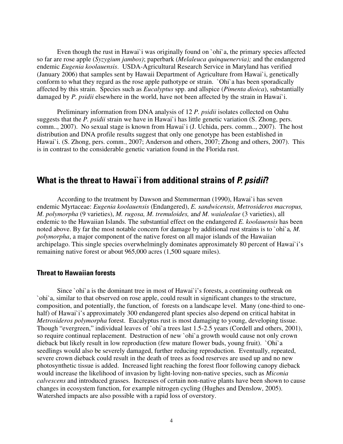Even though the rust in Hawai`i was originally found on `ohi`a, the primary species affected so far are rose apple (*Syzygium jambos)*; paperbark (*Melaleuca quinquenervia);* and the endangered endemic *Eugenia koolauensis*. USDA-Agricultural Research Service in Maryland has verified (January 2006) that samples sent by Hawaii Department of Agriculture from Hawai`i, genetically conform to what they regard as the rose apple pathotype or strain. `Ohi`a has been sporadically affected by this strain. Species such as *Eucalyptus* spp. and allspice (*Pimenta dioica*), substantially damaged by *P. psidii* elsewhere in the world, have not been affected by the strain in Hawai`i.

Preliminary information from DNA analysis of 12 *P. psidii* isolates collected on Oahu suggests that the *P. psidii* strain we have in Hawai`i has little genetic variation (S. Zhong, pers. comm.., 2007). No sexual stage is known from Hawai`i (J. Uchida, pers. comm.., 2007). The host distribution and DNA profile results suggest that only one genotype has been established in Hawai`i. (S. Zhong, pers. comm., 2007; Anderson and others, 2007; Zhong and others, 2007). This is in contrast to the considerable genetic variation found in the Florida rust.

### **What is the threat to Hawai`i from additional strains of** *P. psidii***?**

According to the treatment by Dawson and Stemmerman (1990), Hawai`i has seven endemic Myrtaceae: *Eugenia koolauensis* (Endangered), *E. sandwicensis, Metrosideros macropus, M. polymorpha* (9 varieties), *M. rugosa, M. tremuloides,* an*d M. waialealae* (3 varieties), all endemic to the Hawaiian Islands. The substantial effect on the endangered *E. koolauensis* has been noted above. By far the most notable concern for damage by additional rust strains is to `ohi`a*, M. polymorpha*, a major component of the native forest on all major islands of the Hawaiian archipelago. This single species overwhelmingly dominates approximately 80 percent of Hawai`i's remaining native forest or about 965,000 acres (1,500 square miles).

#### **Threat to Hawaiian forests**

Since `ohi`a is the dominant tree in most of Hawai`i's forests, a continuing outbreak on `ohi`a, similar to that observed on rose apple, could result in significant changes to the structure, composition, and potentially, the function, of forests on a landscape level. Many (one-third to onehalf) of Hawai`i's approximately 300 endangered plant species also depend on critical habitat in *Metrosideros polymorpha* forest. Eucalyptus rust is most damaging to young, developing tissue. Though "evergreen," individual leaves of `ohi`a trees last 1.5-2.5 years (Cordell and others, 2001), so require continual replacement. Destruction of new `ohi`a growth would cause not only crown dieback but likely result in low reproduction (few mature flower buds, young fruit). `Ohi`a seedlings would also be severely damaged, further reducing reproduction. Eventually, repeated, severe crown dieback could result in the death of trees as food reserves are used up and no new photosynthetic tissue is added. Increased light reaching the forest floor following canopy dieback would increase the likelihood of invasion by light-loving non-native species, such as *Miconia calvescens* and introduced grasses. Increases of certain non-native plants have been shown to cause changes in ecosystem function, for example nitrogen cycling (Hughes and Denslow, 2005). Watershed impacts are also possible with a rapid loss of overstory.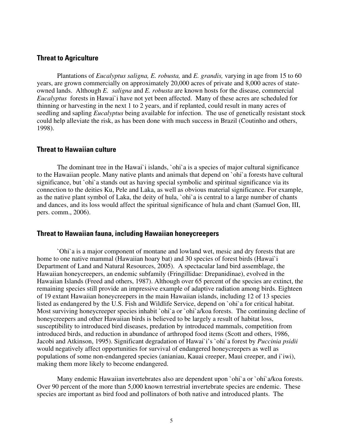#### **Threat to Agriculture**

Plantations of *Eucalyptus saligna, E. robusta,* and *E. grandis,* varying in age from 15 to 60 years, are grown commercially on approximately 20,000 acres of private and 8,000 acres of stateowned lands. Although *E. saligna* and *E. robusta* are known hosts for the disease, commercial *Eucalyptus* forests in Hawai`i have not yet been affected. Many of these acres are scheduled for thinning or harvesting in the next 1 to 2 years, and if replanted, could result in many acres of seedling and sapling *Eucalyptus* being available for infection. The use of genetically resistant stock could help alleviate the risk, as has been done with much success in Brazil (Coutinho and others, 1998).

#### **Threat to Hawaiian culture**

The dominant tree in the Hawai`i islands, `ohi`a is a species of major cultural significance to the Hawaiian people. Many native plants and animals that depend on `ohi`a forests have cultural significance, but `ohi`a stands out as having special symbolic and spiritual significance via its connection to the deities Ku, Pele and Laka, as well as obvious material significance. For example, as the native plant symbol of Laka, the deity of hula, `ohi`a is central to a large number of chants and dances, and its loss would affect the spiritual significance of hula and chant (Samuel Gon, III, pers. comm., 2006).

#### **Threat to Hawaiian fauna, including Hawaiian honeycreepers**

`Ohi`a is a major component of montane and lowland wet, mesic and dry forests that are home to one native mammal (Hawaiian hoary bat) and 30 species of forest birds (Hawai`i Department of Land and Natural Resources, 2005). A spectacular land bird assemblage, the Hawaiian honeycreepers, an endemic subfamily (Fringillidae: Drepanidinae), evolved in the Hawaiian Islands (Freed and others, 1987). Although over 65 percent of the species are extinct, the remaining species still provide an impressive example of adaptive radiation among birds. Eighteen of 19 extant Hawaiian honeycreepers in the main Hawaiian islands, including 12 of 13 species listed as endangered by the U.S. Fish and Wildlife Service, depend on `ohi`a for critical habitat. Most surviving honeycreeper species inhabit `ohi`a or `ohi`a/koa forests. The continuing decline of honeycreepers and other Hawaiian birds is believed to be largely a result of habitat loss, susceptibility to introduced bird diseases, predation by introduced mammals, competition from introduced birds, and reduction in abundance of arthropod food items (Scott and others, 1986, Jacobi and Atkinson, 1995). Significant degradation of Hawai`i's `ohi`a forest by *Puccinia psidii* would negatively affect opportunities for survival of endangered honeycreepers as well as populations of some non-endangered species (anianiau, Kauai creeper, Maui creeper, and i`iwi), making them more likely to become endangered.

Many endemic Hawaiian invertebrates also are dependent upon `ohi`a or `ohi`a/koa forests. Over 90 percent of the more than 5,000 known terrestrial invertebrate species are endemic. These species are important as bird food and pollinators of both native and introduced plants. The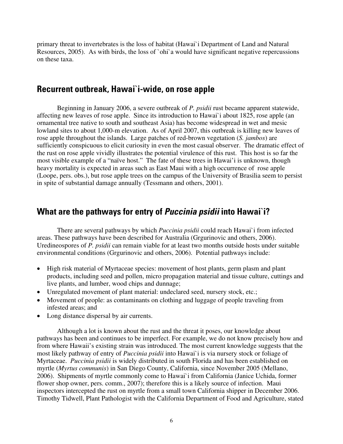primary threat to invertebrates is the loss of habitat (Hawai`i Department of Land and Natural Resources, 2005). As with birds, the loss of `ohi`a would have significant negative repercussions on these taxa.

### **Recurrent outbreak, Hawai`i-wide, on rose apple**

Beginning in January 2006, a severe outbreak of *P. psidii* rust became apparent statewide, affecting new leaves of rose apple. Since its introduction to Hawai`i about 1825, rose apple (an ornamental tree native to south and southeast Asia) has become widespread in wet and mesic lowland sites to about 1,000-m elevation. As of April 2007, this outbreak is killing new leaves of rose apple throughout the islands. Large patches of red-brown vegetation (*S. jambos*) are sufficiently conspicuous to elicit curiosity in even the most casual observer. The dramatic effect of the rust on rose apple vividly illustrates the potential virulence of this rust. This host is so far the most visible example of a "naïve host." The fate of these trees in Hawai'i is unknown, though heavy mortality is expected in areas such as East Maui with a high occurrence of rose apple (Loope, pers. obs.), but rose apple trees on the campus of the University of Brasilia seem to persist in spite of substantial damage annually (Tessmann and others, 2001).

### **What are the pathways for entry of** *Puccinia psidii* **into Hawai`i?**

There are several pathways by which *Puccinia psidii* could reach Hawai`i from infected areas. These pathways have been described for Australia (Grgurinovic and others, 2006). Uredineospores of *P. psidii* can remain viable for at least two months outside hosts under suitable environmental conditions (Grgurinovic and others, 2006). Potential pathways include:

- High risk material of Myrtaceae species: movement of host plants, germ plasm and plant products, including seed and pollen, micro propagation material and tissue culture, cuttings and live plants, and lumber, wood chips and dunnage;
- Unregulated movement of plant material: undeclared seed, nursery stock, etc.;
- Movement of people: as contaminants on clothing and luggage of people traveling from infested areas; and
- Long distance dispersal by air currents.

Although a lot is known about the rust and the threat it poses, our knowledge about pathways has been and continues to be imperfect. For example, we do not know precisely how and from where Hawaii's existing strain was introduced. The most current knowledge suggests that the most likely pathway of entry of *Puccinia psidii* into Hawai`i is via nursery stock or foliage of Myrtaceae. *Puccinia psidii* is widely distributed in south Florida and has been established on myrtle (*Myrtus communis*) in San Diego County, California, since November 2005 (Mellano, 2006). Shipments of myrtle commonly come to Hawai`i from California (Janice Uchida, former flower shop owner, pers. comm., 2007); therefore this is a likely source of infection. Maui inspectors intercepted the rust on myrtle from a small town California shipper in December 2006. Timothy Tidwell, Plant Pathologist with the California Department of Food and Agriculture, stated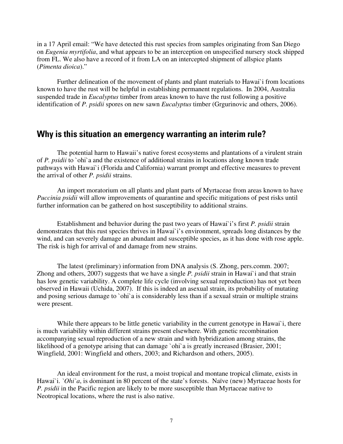in a 17 April email: "We have detected this rust species from samples originating from San Diego on *Eugenia myrtifolia*, and what appears to be an interception on unspecified nursery stock shipped from FL. We also have a record of it from LA on an intercepted shipment of allspice plants (*Pimenta dioica*)."

Further delineation of the movement of plants and plant materials to Hawai`i from locations known to have the rust will be helpful in establishing permanent regulations. In 2004, Australia suspended trade in *Eucalyptus* timber from areas known to have the rust following a positive identification of *P. psidii* spores on new sawn *Eucalyptus* timber (Grgurinovic and others, 2006).

### **Why is this situation an emergency warranting an interim rule?**

The potential harm to Hawaii's native forest ecosystems and plantations of a virulent strain of *P. psidii* to `ohi`a and the existence of additional strains in locations along known trade pathways with Hawai`i (Florida and California) warrant prompt and effective measures to prevent the arrival of other *P. psidii* strains.

An import moratorium on all plants and plant parts of Myrtaceae from areas known to have *Puccinia psidii* will allow improvements of quarantine and specific mitigations of pest risks until further information can be gathered on host susceptibility to additional strains.

Establishment and behavior during the past two years of Hawai`i's first *P. psidii* strain demonstrates that this rust species thrives in Hawai`i's environment, spreads long distances by the wind, and can severely damage an abundant and susceptible species, as it has done with rose apple. The risk is high for arrival of and damage from new strains.

The latest (preliminary) information from DNA analysis (S. Zhong, pers.comm. 2007; Zhong and others, 2007) suggests that we have a single *P. psidii* strain in Hawai`i and that strain has low genetic variability. A complete life cycle (involving sexual reproduction) has not yet been observed in Hawaii (Uchida, 2007). If this is indeed an asexual strain, its probability of mutating and posing serious damage to `ohi`a is considerably less than if a sexual strain or multiple strains were present.

While there appears to be little genetic variability in the current genotype in Hawai`i, there is much variability within different strains present elsewhere. With genetic recombination accompanying sexual reproduction of a new strain and with hybridization among strains, the likelihood of a genotype arising that can damage `ohi`a is greatly increased (Brasier, 2001; Wingfield, 2001: Wingfield and others, 2003; and Richardson and others, 2005).

An ideal environment for the rust, a moist tropical and montane tropical climate, exists in Hawai`i. *`Ohi`a*, is dominant in 80 percent of the state's forests. Naïve (new) Myrtaceae hosts for *P. psidii* in the Pacific region are likely to be more susceptible than Myrtaceae native to Neotropical locations, where the rust is also native.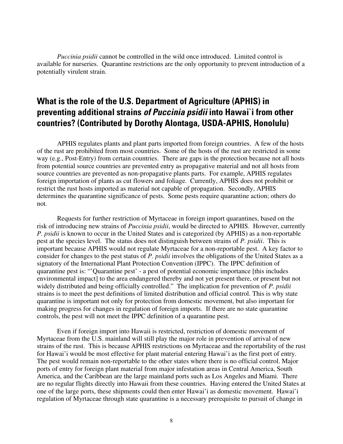*Puccinia psidii* cannot be controlled in the wild once introduced. Limited control is available for nurseries. Quarantine restrictions are the only opportunity to prevent introduction of a potentially virulent strain.

# **What is the role of the U.S. Department of Agriculture (APHIS) in preventing additional strains** *of Puccinia psidii* **into Hawai`i from other countries? (Contributed by Dorothy Alontaga, USDA-APHIS, Honolulu)**

APHIS regulates plants and plant parts imported from foreign countries. A few of the hosts of the rust are prohibited from most countries. Some of the hosts of the rust are restricted in some way (e.g., Post-Entry) from certain countries. There are gaps in the protection because not all hosts from potential source countries are prevented entry as propagative material and not all hosts from source countries are prevented as non-propagative plants parts. For example, APHIS regulates foreign importation of plants as cut flowers and foliage. Currently, APHIS does not prohibit or restrict the rust hosts imported as material not capable of propagation. Secondly, APHIS determines the quarantine significance of pests. Some pests require quarantine action; others do not.

Requests for further restriction of Myrtaceae in foreign import quarantines, based on the risk of introducing new strains of *Puccinia psidii*, would be directed to APHIS. However, currently *P. psidii* is known to occur in the United States and is categorized (by APHIS) as a non-reportable pest at the species level. The status does not distinguish between strains of *P. psidii*. This is important because APHIS would not regulate Myrtaceae for a non-reportable pest. A key factor to consider for changes to the pest status of *P. psidii* involves the obligations of the United States as a signatory of the International Plant Protection Convention (IPPC). The IPPC definition of quarantine pest is: "'Quarantine pest' - a pest of potential economic importance [this includes environmental impact] to the area endangered thereby and not yet present there, or present but not widely distributed and being officially controlled." The implication for prevention of *P. psidii* strains is to meet the pest definitions of limited distribution and official control. This is why state quarantine is important not only for protection from domestic movement, but also important for making progress for changes in regulation of foreign imports. If there are no state quarantine controls, the pest will not meet the IPPC definition of a quarantine pest.

Even if foreign import into Hawaii is restricted, restriction of domestic movement of Myrtaceae from the U.S. mainland will still play the major role in prevention of arrival of new strains of the rust. This is because APHIS restrictions on Myrtaceae and the reportability of the rust for Hawai'i would be most effective for plant material entering Hawai'i as the first port of entry. The pest would remain non-reportable to the other states where there is no official control. Major ports of entry for foreign plant material from major infestation areas in Central America, South America, and the Caribbean are the large mainland ports such as Los Angeles and Miami. There are no regular flights directly into Hawaii from these countries. Having entered the United States at one of the large ports, these shipments could then enter Hawai'i as domestic movement. Hawai'i regulation of Myrtaceae through state quarantine is a necessary prerequisite to pursuit of change in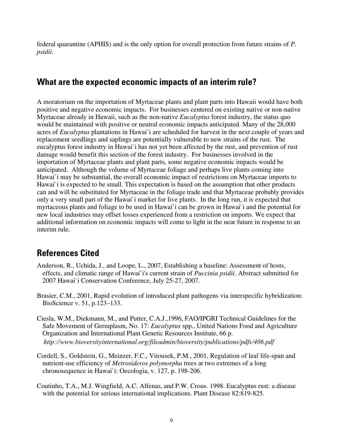federal quarantine (APHIS) and is the only option for overall protection from future strains of *P. psidii*.

## **What are the expected economic impacts of an interim rule?**

A moratorium on the importation of Myrtaceae plants and plant parts into Hawaii would have both positive and negative economic impacts. For businesses centered on existing native or non-native Myrtaceae already in Hawaii, such as the non-native *Eucalyptus* forest industry, the status quo would be maintained with positive or neutral economic impacts anticipated. Many of the 28,000 acres of *Eucalyptus* plantations in Hawai`i are scheduled for harvest in the next couple of years and replacement seedlings and saplings are potentially vulnerable to new strains of the rust. The eucalyptus forest industry in Hawai`i has not yet been affected by the rust, and prevention of rust damage would benefit this section of the forest industry. For businesses involved in the importation of Myrtaceae plants and plant parts, some negative economic impacts would be anticipated. Although the volume of Myrtaceae foliage and perhaps live plants coming into Hawai`i may be substantial, the overall economic impact of restrictions on Myrtaceae imports to Hawai'i is expected to be small. This expectation is based on the assumption that other products can and will be substituted for Myrtaceae in the foliage trade and that Myrtaceae probably provides only a very small part of the Hawai`i market for live plants. In the long run, it is expected that myrtaceous plants and foliage to be used in Hawai`i can be grown in Hawai`i and the potential for new local industries may offset losses experienced from a restriction on imports. We expect that additional information on economic impacts will come to light in the near future in response to an interim rule.

# **References Cited**

- Anderson, R., Uchida, J., and Loope, L., 2007, Establishing a baseline: Assessment of hosts, effects, and climatic range of Hawai`i's current strain of *Puccinia psidii*. Abstract submitted for 2007 Hawai`i Conservation Conference, July 25-27, 2007.
- Brasier, C.M., 2001, Rapid evolution of introduced plant pathogens via interspecific hybridization: BioScience v. 51, p.123–133.
- Ciesla, W.M., Diekmann, M., and Putter, C.A.J.,1996, FAO/IPGRI Technical Guidelines for the Safe Movement of Germplasm, No. 17: *Eucalyptus* spp., United Nations Food and Agriculture Organization and International Plant Genetic Resources Institute, 66 p.  *<http://www.bioversityinternational.org/fileadmin/bioversity/publications/pdfs/406.pdf>*
- Cordell, S., Goldstein, G., Meinzer, F.C., Vitousek, P.M., 2001, Regulation of leaf life-span and nutrient-use efficiency of *Metrosideros polymorpha* trees at two extremes of a long chronosequence in Hawai`i: Oecologia, v. 127, p. 198-206.
- Coutinho, T.A., M.J. Wingfield, A.C. Alfenas, and P.W. Crous. 1998. Eucalyptus rust: a disease with the potential for serious international implications. Plant Disease 82:819-825.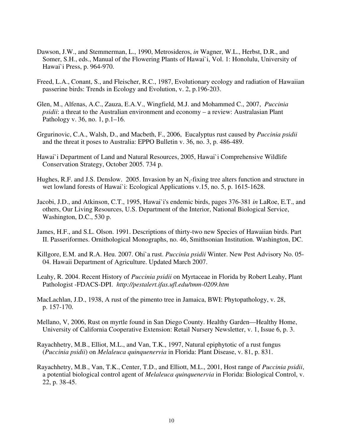- Dawson, J.W., and Stemmerman, L., 1990, Metrosideros, *in* Wagner, W.L., Herbst, D.R., and Somer, S.H., eds., Manual of the Flowering Plants of Hawai`i, Vol. 1: Honolulu, University of Hawai`i Press, p. 964-970.
- Freed, L.A., Conant, S., and Fleischer, R.C., 1987, Evolutionary ecology and radiation of Hawaiian passerine birds: Trends in Ecology and Evolution, v. 2, p.196-203.
- Glen, M., Alfenas, A.C., Zauza, E.A.V., Wingfield, M.J. and Mohammed C., 2007, *Puccinia psidii*: a threat to the Australian environment and economy – a review: Australasian Plant Pathology v. 36, no. 1, p.1–16.
- Grgurinovic, C.A., Walsh, D., and Macbeth, F., 2006, Eucalyptus rust caused by *Puccinia psidii* and the threat it poses to Australia: EPPO Bulletin v. 36, no. 3, p. 486-489.
- Hawai`i Department of Land and Natural Resources, 2005, Hawai`i Comprehensive Wildlife Conservation Strategy, October 2005. 734 p.
- Hughes, R.F. and J.S. Denslow. 2005. Invasion by an N<sub>3</sub>-fixing tree alters function and structure in wet lowland forests of Hawai`i: Ecological Applications v.15, no. 5, p. 1615-1628.
- Jacobi, J.D., and Atkinson, C.T., 1995, Hawai`i's endemic birds, pages 376-381 *in* LaRoe, E.T., and others, Our Living Resources, U.S. Department of the Interior, National Biological Service, Washington, D.C., 530 p.
- James, H.F., and S.L. Olson. 1991. Descriptions of thirty-two new Species of Hawaiian birds. Part II. Passeriformes. Ornithological Monographs, no. 46, Smithsonian Institution. Washington, DC.
- Killgore, E.M. and R.A. Heu. 2007. Ohi`a rust. *Puccinia psidii* Winter. New Pest Advisory No. 05- 04. Hawaii Department of Agriculture. Updated March 2007.
- Leahy, R. 2004. Recent History of *Puccinia psidii* on Myrtaceae in Florida by Robert Leahy, Plant Pathologist -FDACS-DPI. *[http://pestalert.ifas.ufl.edu/tmm-0209.htm](http://web.archive.org/web/20050117213153/http:/extlab7.entnem.ufl.edu/PestAlert/tmm-0209.htm)*
- MacLachlan, J.D., 1938, A rust of the pimento tree in Jamaica, BWI: Phytopathology, v. 28, p. 157-170.
- Mellano, V, 2006, Rust on myrtle found in San Diego County. Healthy Garden—Healthy Home, University of California Cooperative Extension: Retail Nursery Newsletter, v. 1, Issue 6, p. 3.
- Rayachhetry, M.B., Elliot, M.L., and Van, T.K., 1997, Natural epiphytotic of a rust fungus (*Puccinia psidii*) on *Melaleuca quinquenervia* in Florida: Plant Disease, v. 81, p. 831.
- Rayachhetry, M.B., Van, T.K., Center, T.D., and Elliott, M.L., 2001, Host range of *Puccinia psidii*, a potential biological control agent of *Melaleuca quinquenervia* in Florida: Biological Control, v. 22, p. 38-45.